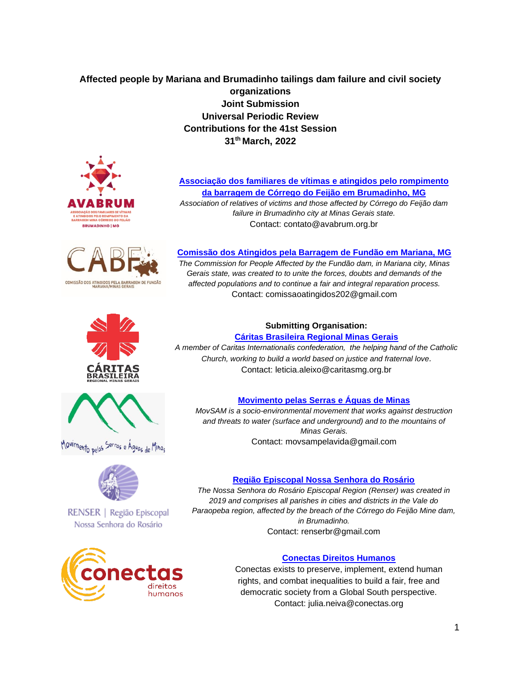# **Affected people by Mariana and Brumadinho tailings dam failure and civil society organizations Joint Submission Universal Periodic Review Contributions for the 41st Session 31th March, 2022**









10vimento pelos <sup>Serra</sup>s e Águas de Minas



RENSER | Região Episcopal Nossa Senhora do Rosário



#### **[Associação dos familiares de vítimas e atingidos pelo rompimento](https://avabrum.org.br/)  da barragem [de Córrego do Feijão em Brumadinho, MG](https://avabrum.org.br/)** *Association of relatives of victims and those affected by Córrego do Feijão dam failure in Brumadinho city at Minas Gerais state.*

Contact: contato@avabrum.org.br

## **[Comissão dos Atingidos pela Barragem de Fundão em Mariana, MG](http://mg.caritas.org.br/noticias/nos-somos-a-comissao)**

*The Commission for People Affected by the Fundão dam, in Mariana city, Minas Gerais state, was created to to unite the forces, doubts and demands of the affected populations and to continue a fair and integral reparation process.*  Contact: comissaoatingidos202@gmail.com

#### **Submitting Organisation: Cáritas Brasileira [Regional Minas Gerais](http://mg.caritas.org.br/noticias/nos-somos-a-comissao)**

*A member of Caritas Internationalis confederation, the helping hand of the Catholic Church, working to build a world based on justice and fraternal love.* Contact: leticia.aleixo@caritasmg.org.br

## **[Movimento pelas Serras e Águas de Minas](https://pt-br.facebook.com/movimentopelasserraseaguasdeminas/)**

*MovSAM is a socio-environmental movement that works against destruction and threats to water (surface and underground) and to the mountains of Minas Gerais.* Contact: movsampelavida@gmail.com

### **[Região Episcopal Nossa Senhora do Rosário](https://arquidiocesebh.org.br/arquidiocese/organizacao/regioes/regiao-episcopal-nossa-senhora-do-rosario-renser/)**

*The Nossa Senhora do Rosário Episcopal Region (Renser) was created in 2019 and comprises all parishes in cities and districts in the Vale do Paraopeba region, affected by the breach of the Córrego do Feijão Mine dam, in Brumadinho.*

Contact: renserbr@gmail.com

## **[Conectas Direitos Humanos](https://www.conectas.org/)**

Conectas exists to preserve, implement, extend human rights, and combat inequalities to build a fair, free and democratic society from a Global South perspective. Contact: julia.neiva@conectas.org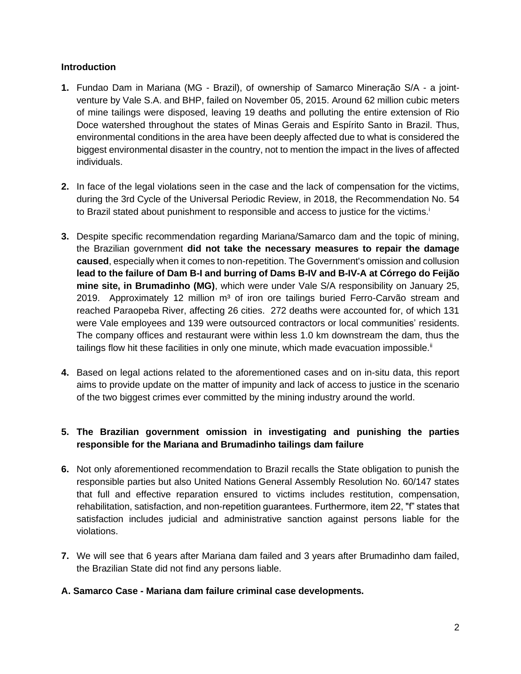## **Introduction**

- **1.** Fundao Dam in Mariana (MG Brazil), of ownership of Samarco Mineração S/A a jointventure by Vale S.A. and BHP, failed on November 05, 2015. Around 62 million cubic meters of mine tailings were disposed, leaving 19 deaths and polluting the entire extension of Rio Doce watershed throughout the states of Minas Gerais and Espírito Santo in Brazil. Thus, environmental conditions in the area have been deeply affected due to what is considered the biggest environmental disaster in the country, not to mention the impact in the lives of affected individuals.
- **2.** In face of the legal violations seen in the case and the lack of compensation for the victims, during the 3rd Cycle of the Universal Periodic Review, in 2018, the Recommendation No. 54 to Brazil stated about punishment to responsible and access to justice for the victims.<sup>i</sup>
- **3.** Despite specific recommendation regarding Mariana/Samarco dam and the topic of mining, the Brazilian government **did not take the necessary measures to repair the damage caused**, especially when it comes to non-repetition. The Government's omission and collusion **lead to the failure of Dam B-I and burring of Dams B-IV and B-IV-A at Córrego do Feijão mine site, in Brumadinho (MG)**, which were under Vale S/A responsibility on January 25, 2019. Approximately 12 million  $m<sup>3</sup>$  of iron ore tailings buried Ferro-Carvão stream and reached Paraopeba River, affecting 26 cities. 272 deaths were accounted for, of which 131 were Vale employees and 139 were outsourced contractors or local communities' residents. The company offices and restaurant were within less 1.0 km downstream the dam, thus the tailings flow hit these facilities in only one minute, which made evacuation impossible. $\mathbb{I}$
- **4.** Based on legal actions related to the aforementioned cases and on in-situ data, this report aims to provide update on the matter of impunity and lack of access to justice in the scenario of the two biggest crimes ever committed by the mining industry around the world.

## **5. The Brazilian government omission in investigating and punishing the parties responsible for the Mariana and Brumadinho tailings dam failure**

- **6.** Not only aforementioned recommendation to Brazil recalls the State obligation to punish the responsible parties but also United Nations General Assembly Resolution No. 60/147 states that full and effective reparation ensured to victims includes restitution, compensation, rehabilitation, satisfaction, and non-repetition guarantees. Furthermore, item 22, "f" states that satisfaction includes judicial and administrative sanction against persons liable for the violations.
- **7.** We will see that 6 years after Mariana dam failed and 3 years after Brumadinho dam failed, the Brazilian State did not find any persons liable.

### **A. Samarco Case - Mariana dam failure criminal case developments.**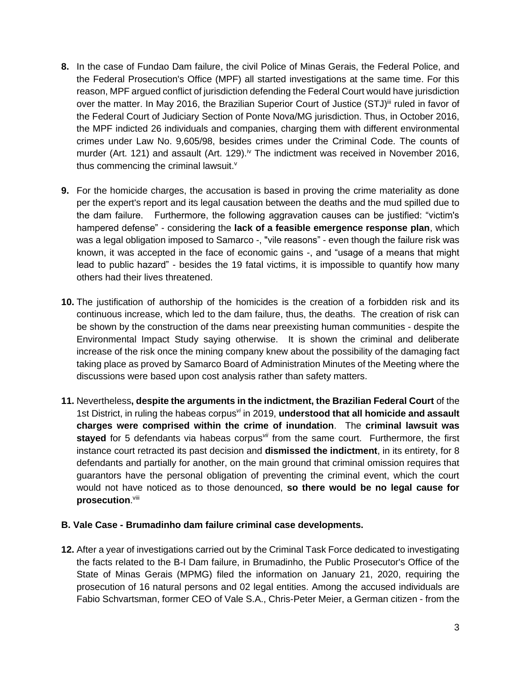- **8.** In the case of Fundao Dam failure, the civil Police of Minas Gerais, the Federal Police, and the Federal Prosecution's Office (MPF) all started investigations at the same time. For this reason, MPF argued conflict of jurisdiction defending the Federal Court would have jurisdiction over the matter. In May 2016, the Brazilian Superior Court of Justice (STJ)<sup>iii</sup> ruled in favor of the Federal Court of Judiciary Section of Ponte Nova/MG jurisdiction. Thus, in October 2016, the MPF indicted 26 individuals and companies, charging them with different environmental crimes under Law No. 9,605/98, besides crimes under the Criminal Code. The counts of murder (Art. 121) and assault (Art. 129).<sup>iv</sup> The indictment was received in November 2016, thus commencing the criminal lawsuit. $V$
- **9.** For the homicide charges, the accusation is based in proving the crime materiality as done per the expert's report and its legal causation between the deaths and the mud spilled due to the dam failure. Furthermore, the following aggravation causes can be justified: "victim's hampered defense" - considering the **lack of a feasible emergence response plan**, which was a legal obligation imposed to Samarco -, "vile reasons" - even though the failure risk was known, it was accepted in the face of economic gains -, and "usage of a means that might lead to public hazard" - besides the 19 fatal victims, it is impossible to quantify how many others had their lives threatened.
- **10.** The justification of authorship of the homicides is the creation of a forbidden risk and its continuous increase, which led to the dam failure, thus, the deaths. The creation of risk can be shown by the construction of the dams near preexisting human communities - despite the Environmental Impact Study saying otherwise. It is shown the criminal and deliberate increase of the risk once the mining company knew about the possibility of the damaging fact taking place as proved by Samarco Board of Administration Minutes of the Meeting where the discussions were based upon cost analysis rather than safety matters.
- **11.** Nevertheless**, despite the arguments in the indictment, the Brazilian Federal Court** of the 1st District, in ruling the habeas corpus*vi* in 2019, **understood that all homicide and assault charges were comprised within the crime of inundation**. The **criminal lawsuit was stayed** for 5 defendants via habeas corpus*vii* from the same court. Furthermore, the first instance court retracted its past decision and **dismissed the indictment**, in its entirety, for 8 defendants and partially for another, on the main ground that criminal omission requires that guarantors have the personal obligation of preventing the criminal event, which the court would not have noticed as to those denounced, **so there would be no legal cause for prosecution**. viii

### **B. Vale Case - Brumadinho dam failure criminal case developments.**

**12.** After a year of investigations carried out by the Criminal Task Force dedicated to investigating the facts related to the B-I Dam failure, in Brumadinho, the Public Prosecutor's Office of the State of Minas Gerais (MPMG) filed the information on January 21, 2020, requiring the prosecution of 16 natural persons and 02 legal entities. Among the accused individuals are Fabio Schvartsman, former CEO of Vale S.A., Chris-Peter Meier, a German citizen - from the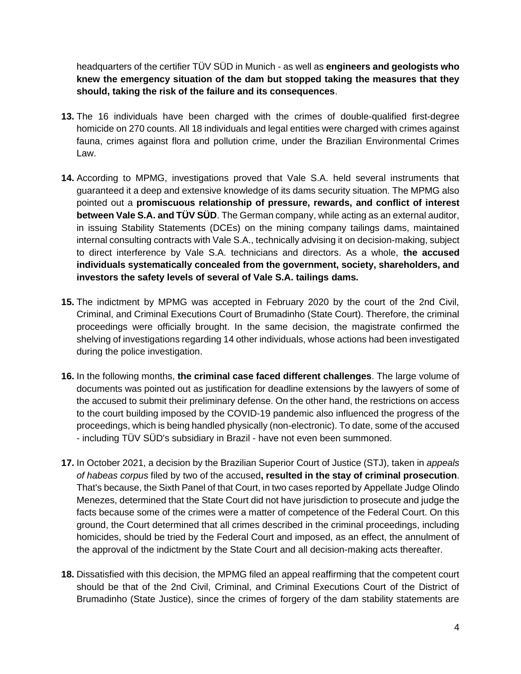headquarters of the certifier TÜV SÜD in Munich - as well as **engineers and geologists who knew the emergency situation of the dam but stopped taking the measures that they should, taking the risk of the failure and its consequences**.

- **13.** The 16 individuals have been charged with the crimes of double-qualified first-degree homicide on 270 counts. All 18 individuals and legal entities were charged with crimes against fauna, crimes against flora and pollution crime, under the Brazilian Environmental Crimes Law.
- **14.** According to MPMG, investigations proved that Vale S.A. held several instruments that guaranteed it a deep and extensive knowledge of its dams security situation. The MPMG also pointed out a **promiscuous relationship of pressure, rewards, and conflict of interest between Vale S.A. and TÜV SÜD**. The German company, while acting as an external auditor, in issuing Stability Statements (DCEs) on the mining company tailings dams, maintained internal consulting contracts with Vale S.A., technically advising it on decision-making, subject to direct interference by Vale S.A. technicians and directors. As a whole, **the accused individuals systematically concealed from the government, society, shareholders, and investors the safety levels of several of Vale S.A. tailings dams.**
- **15.** The indictment by MPMG was accepted in February 2020 by the court of the 2nd Civil, Criminal, and Criminal Executions Court of Brumadinho (State Court). Therefore, the criminal proceedings were officially brought. In the same decision, the magistrate confirmed the shelving of investigations regarding 14 other individuals, whose actions had been investigated during the police investigation.
- **16.** In the following months, **the criminal case faced different challenges**. The large volume of documents was pointed out as justification for deadline extensions by the lawyers of some of the accused to submit their preliminary defense. On the other hand, the restrictions on access to the court building imposed by the COVID-19 pandemic also influenced the progress of the proceedings, which is being handled physically (non-electronic). To date, some of the accused - including TÜV SÜD's subsidiary in Brazil - have not even been summoned.
- **17.** In October 2021, a decision by the Brazilian Superior Court of Justice (STJ), taken in *appeals of habeas corpus* filed by two of the accused**, resulted in the stay of criminal prosecution**. That's because, the Sixth Panel of that Court, in two cases reported by Appellate Judge Olindo Menezes, determined that the State Court did not have jurisdiction to prosecute and judge the facts because some of the crimes were a matter of competence of the Federal Court. On this ground, the Court determined that all crimes described in the criminal proceedings, including homicides, should be tried by the Federal Court and imposed, as an effect, the annulment of the approval of the indictment by the State Court and all decision-making acts thereafter.
- **18.** Dissatisfied with this decision, the MPMG filed an appeal reaffirming that the competent court should be that of the 2nd Civil, Criminal, and Criminal Executions Court of the District of Brumadinho (State Justice), since the crimes of forgery of the dam stability statements are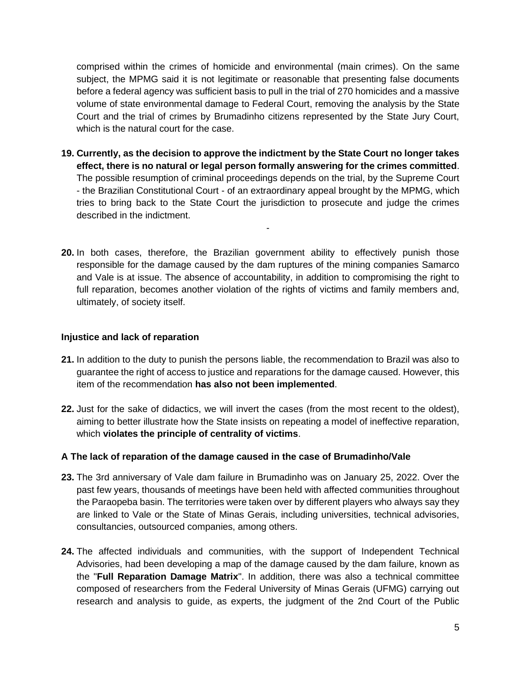comprised within the crimes of homicide and environmental (main crimes). On the same subject, the MPMG said it is not legitimate or reasonable that presenting false documents before a federal agency was sufficient basis to pull in the trial of 270 homicides and a massive volume of state environmental damage to Federal Court, removing the analysis by the State Court and the trial of crimes by Brumadinho citizens represented by the State Jury Court, which is the natural court for the case.

**19. Currently, as the decision to approve the indictment by the State Court no longer takes effect, there is no natural or legal person formally answering for the crimes committed**. The possible resumption of criminal proceedings depends on the trial, by the Supreme Court - the Brazilian Constitutional Court - of an extraordinary appeal brought by the MPMG, which tries to bring back to the State Court the jurisdiction to prosecute and judge the crimes described in the indictment.

-

**20.** In both cases, therefore, the Brazilian government ability to effectively punish those responsible for the damage caused by the dam ruptures of the mining companies Samarco and Vale is at issue. The absence of accountability, in addition to compromising the right to full reparation, becomes another violation of the rights of victims and family members and, ultimately, of society itself.

## **Injustice and lack of reparation**

- **21.** In addition to the duty to punish the persons liable, the recommendation to Brazil was also to guarantee the right of access to justice and reparations for the damage caused. However, this item of the recommendation **has also not been implemented**.
- **22.** Just for the sake of didactics, we will invert the cases (from the most recent to the oldest), aiming to better illustrate how the State insists on repeating a model of ineffective reparation, which **violates the principle of centrality of victims**.

### **A The lack of reparation of the damage caused in the case of Brumadinho/Vale**

- **23.** The 3rd anniversary of Vale dam failure in Brumadinho was on January 25, 2022. Over the past few years, thousands of meetings have been held with affected communities throughout the Paraopeba basin. The territories were taken over by different players who always say they are linked to Vale or the State of Minas Gerais, including universities, technical advisories, consultancies, outsourced companies, among others.
- **24.** The affected individuals and communities, with the support of Independent Technical Advisories, had been developing a map of the damage caused by the dam failure, known as the "**Full Reparation Damage Matrix**". In addition, there was also a technical committee composed of researchers from the Federal University of Minas Gerais (UFMG) carrying out research and analysis to guide, as experts, the judgment of the 2nd Court of the Public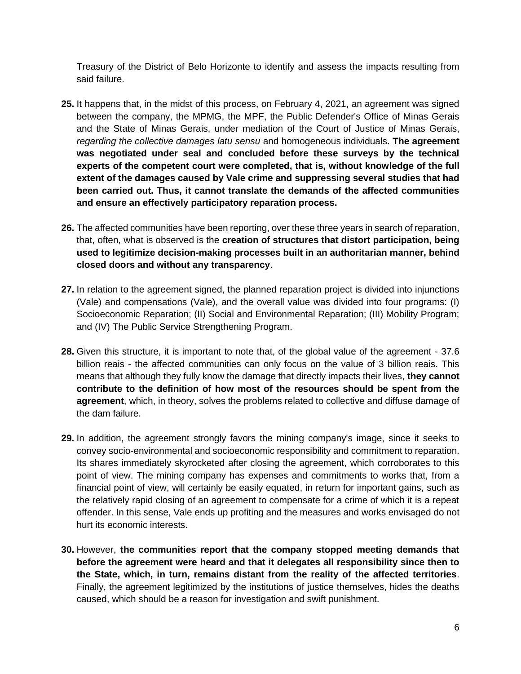Treasury of the District of Belo Horizonte to identify and assess the impacts resulting from said failure.

- **25.** It happens that, in the midst of this process, on February 4, 2021, an agreement was signed between the company, the MPMG, the MPF, the Public Defender's Office of Minas Gerais and the State of Minas Gerais, under mediation of the Court of Justice of Minas Gerais, *regarding the collective damages latu sensu* and homogeneous individuals. **The agreement was negotiated under seal and concluded before these surveys by the technical experts of the competent court were completed, that is, without knowledge of the full extent of the damages caused by Vale crime and suppressing several studies that had been carried out. Thus, it cannot translate the demands of the affected communities and ensure an effectively participatory reparation process.**
- **26.** The affected communities have been reporting, over these three years in search of reparation, that, often, what is observed is the **creation of structures that distort participation, being used to legitimize decision-making processes built in an authoritarian manner, behind closed doors and without any transparency**.
- **27.** In relation to the agreement signed, the planned reparation project is divided into injunctions (Vale) and compensations (Vale), and the overall value was divided into four programs: (I) Socioeconomic Reparation; (II) Social and Environmental Reparation; (III) Mobility Program; and (IV) The Public Service Strengthening Program.
- **28.** Given this structure, it is important to note that, of the global value of the agreement 37.6 billion reais - the affected communities can only focus on the value of 3 billion reais. This means that although they fully know the damage that directly impacts their lives, **they cannot contribute to the definition of how most of the resources should be spent from the agreement**, which, in theory, solves the problems related to collective and diffuse damage of the dam failure.
- **29.** In addition, the agreement strongly favors the mining company's image, since it seeks to convey socio-environmental and socioeconomic responsibility and commitment to reparation. Its shares immediately skyrocketed after closing the agreement, which corroborates to this point of view. The mining company has expenses and commitments to works that, from a financial point of view, will certainly be easily equated, in return for important gains, such as the relatively rapid closing of an agreement to compensate for a crime of which it is a repeat offender. In this sense, Vale ends up profiting and the measures and works envisaged do not hurt its economic interests.
- **30.** However, **the communities report that the company stopped meeting demands that before the agreement were heard and that it delegates all responsibility since then to the State, which, in turn, remains distant from the reality of the affected territories**. Finally, the agreement legitimized by the institutions of justice themselves, hides the deaths caused, which should be a reason for investigation and swift punishment.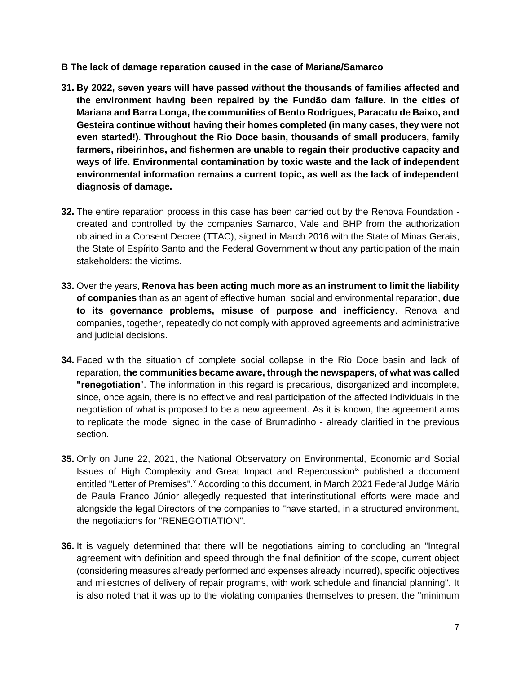- **B The lack of damage reparation caused in the case of Mariana/Samarco**
- **31. By 2022, seven years will have passed without the thousands of families affected and the environment having been repaired by the Fundão dam failure. In the cities of Mariana and Barra Longa, the communities of Bento Rodrigues, Paracatu de Baixo, and Gesteira continue without having their homes completed (in many cases, they were not even started!)**. **Throughout the Rio Doce basin, thousands of small producers, family farmers, ribeirinhos, and fishermen are unable to regain their productive capacity and ways of life. Environmental contamination by toxic waste and the lack of independent environmental information remains a current topic, as well as the lack of independent diagnosis of damage.**
- **32.** The entire reparation process in this case has been carried out by the Renova Foundation created and controlled by the companies Samarco, Vale and BHP from the authorization obtained in a Consent Decree (TTAC), signed in March 2016 with the State of Minas Gerais, the State of Espírito Santo and the Federal Government without any participation of the main stakeholders: the victims.
- **33.** Over the years, **Renova has been acting much more as an instrument to limit the liability of companies** than as an agent of effective human, social and environmental reparation, **due to its governance problems, misuse of purpose and inefficiency**. Renova and companies, together, repeatedly do not comply with approved agreements and administrative and judicial decisions.
- **34.** Faced with the situation of complete social collapse in the Rio Doce basin and lack of reparation, **the communities became aware, through the newspapers, of what was called "renegotiation**". The information in this regard is precarious, disorganized and incomplete, since, once again, there is no effective and real participation of the affected individuals in the negotiation of what is proposed to be a new agreement. As it is known, the agreement aims to replicate the model signed in the case of Brumadinho - already clarified in the previous section.
- **35.** Only on June 22, 2021, the National Observatory on Environmental, Economic and Social Issues of High Complexity and Great Impact and Repercussion<sup>ix</sup> published a document entitled "Letter of Premises".<sup>x</sup> According to this document, in March 2021 Federal Judge Mário de Paula Franco Júnior allegedly requested that interinstitutional efforts were made and alongside the legal Directors of the companies to "have started, in a structured environment, the negotiations for "RENEGOTIATION".
- **36.** It is vaguely determined that there will be negotiations aiming to concluding an "Integral agreement with definition and speed through the final definition of the scope, current object (considering measures already performed and expenses already incurred), specific objectives and milestones of delivery of repair programs, with work schedule and financial planning". It is also noted that it was up to the violating companies themselves to present the "minimum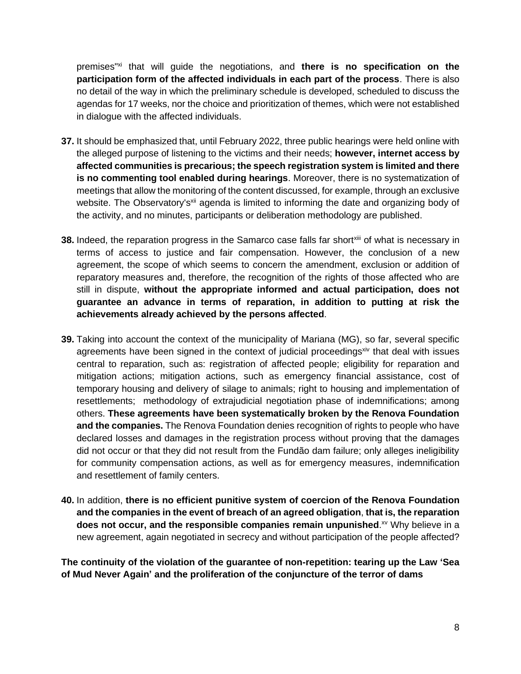premises"xi that will guide the negotiations, and **there is no specification on the participation form of the affected individuals in each part of the process**. There is also no detail of the way in which the preliminary schedule is developed, scheduled to discuss the agendas for 17 weeks, nor the choice and prioritization of themes, which were not established in dialogue with the affected individuals.

- **37.** It should be emphasized that, until February 2022, three public hearings were held online with the alleged purpose of listening to the victims and their needs; **however, internet access by affected communities is precarious; the speech registration system is limited and there is no commenting tool enabled during hearings**. Moreover, there is no systematization of meetings that allow the monitoring of the content discussed, for example, through an exclusive website. The Observatory's<sup>xii</sup> agenda is limited to informing the date and organizing body of the activity, and no minutes, participants or deliberation methodology are published.
- **38.** Indeed, the reparation progress in the Samarco case falls far short<sup>xiii</sup> of what is necessarv in terms of access to justice and fair compensation. However, the conclusion of a new agreement, the scope of which seems to concern the amendment, exclusion or addition of reparatory measures and, therefore, the recognition of the rights of those affected who are still in dispute, **without the appropriate informed and actual participation, does not guarantee an advance in terms of reparation, in addition to putting at risk the achievements already achieved by the persons affected**.
- **39.** Taking into account the context of the municipality of Mariana (MG), so far, several specific agreements have been signed in the context of judicial proceedings<sup>xiv</sup> that deal with issues central to reparation, such as: registration of affected people; eligibility for reparation and mitigation actions; mitigation actions, such as emergency financial assistance, cost of temporary housing and delivery of silage to animals; right to housing and implementation of resettlements; methodology of extrajudicial negotiation phase of indemnifications; among others. **These agreements have been systematically broken by the Renova Foundation and the companies.** The Renova Foundation denies recognition of rights to people who have declared losses and damages in the registration process without proving that the damages did not occur or that they did not result from the Fundão dam failure; only alleges ineligibility for community compensation actions, as well as for emergency measures, indemnification and resettlement of family centers.
- **40.** In addition, **there is no efficient punitive system of coercion of the Renova Foundation and the companies in the event of breach of an agreed obligation**, **that is, the reparation**  does not occur, and the responsible companies remain unpunished.<sup>xv</sup> Why believe in a new agreement, again negotiated in secrecy and without participation of the people affected?

**The continuity of the violation of the guarantee of non-repetition: tearing up the Law 'Sea of Mud Never Again' and the proliferation of the conjuncture of the terror of dams**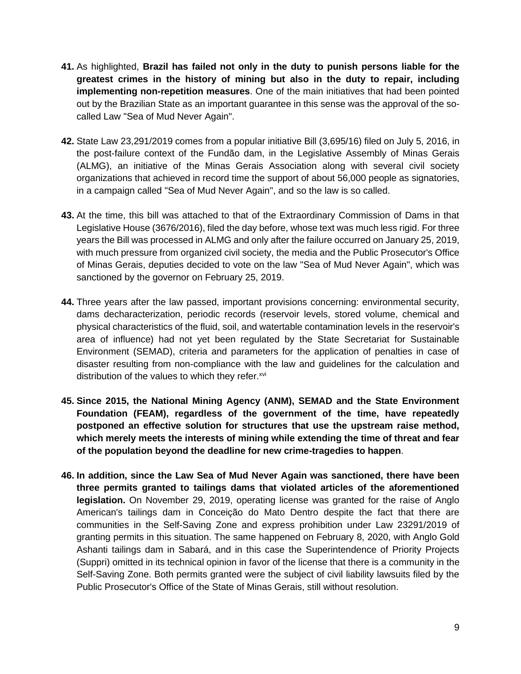- **41.** As highlighted, **Brazil has failed not only in the duty to punish persons liable for the greatest crimes in the history of mining but also in the duty to repair, including implementing non-repetition measures**. One of the main initiatives that had been pointed out by the Brazilian State as an important guarantee in this sense was the approval of the socalled Law "Sea of Mud Never Again".
- **42.** State Law 23,291/2019 comes from a popular initiative Bill (3,695/16) filed on July 5, 2016, in the post-failure context of the Fundão dam, in the Legislative Assembly of Minas Gerais (ALMG), an initiative of the Minas Gerais Association along with several civil society organizations that achieved in record time the support of about 56,000 people as signatories, in a campaign called "Sea of Mud Never Again", and so the law is so called.
- **43.** At the time, this bill was attached to that of the Extraordinary Commission of Dams in that Legislative House (3676/2016), filed the day before, whose text was much less rigid. For three years the Bill was processed in ALMG and only after the failure occurred on January 25, 2019, with much pressure from organized civil society, the media and the Public Prosecutor's Office of Minas Gerais, deputies decided to vote on the law "Sea of Mud Never Again", which was sanctioned by the governor on February 25, 2019.
- **44.** Three years after the law passed, important provisions concerning: environmental security, dams decharacterization, periodic records (reservoir levels, stored volume, chemical and physical characteristics of the fluid, soil, and watertable contamination levels in the reservoir's area of influence) had not yet been regulated by the State Secretariat for Sustainable Environment (SEMAD), criteria and parameters for the application of penalties in case of disaster resulting from non-compliance with the law and guidelines for the calculation and distribution of the values to which they refer.<sup>xvi</sup>
- **45. Since 2015, the National Mining Agency (ANM), SEMAD and the State Environment Foundation (FEAM), regardless of the government of the time, have repeatedly postponed an effective solution for structures that use the upstream raise method, which merely meets the interests of mining while extending the time of threat and fear of the population beyond the deadline for new crime-tragedies to happen**.
- **46. In addition, since the Law Sea of Mud Never Again was sanctioned, there have been three permits granted to tailings dams that violated articles of the aforementioned legislation.** On November 29, 2019, operating license was granted for the raise of Anglo American's tailings dam in Conceição do Mato Dentro despite the fact that there are communities in the Self-Saving Zone and express prohibition under Law 23291/2019 of granting permits in this situation. The same happened on February 8, 2020, with Anglo Gold Ashanti tailings dam in Sabará, and in this case the Superintendence of Priority Projects (Suppri) omitted in its technical opinion in favor of the license that there is a community in the Self-Saving Zone. Both permits granted were the subject of civil liability lawsuits filed by the Public Prosecutor's Office of the State of Minas Gerais, still without resolution.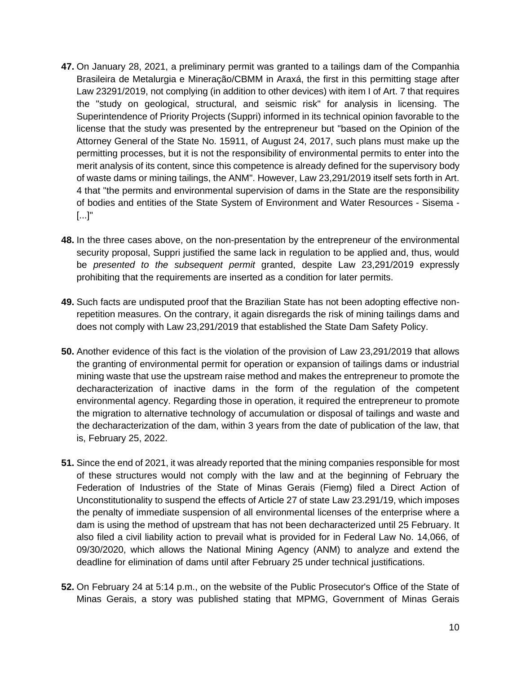- **47.** On January 28, 2021, a preliminary permit was granted to a tailings dam of the Companhia Brasileira de Metalurgia e Mineração/CBMM in Araxá, the first in this permitting stage after Law 23291/2019, not complying (in addition to other devices) with item I of Art. 7 that requires the "study on geological, structural, and seismic risk" for analysis in licensing. The Superintendence of Priority Projects (Suppri) informed in its technical opinion favorable to the license that the study was presented by the entrepreneur but "based on the Opinion of the Attorney General of the State No. 15911, of August 24, 2017, such plans must make up the permitting processes, but it is not the responsibility of environmental permits to enter into the merit analysis of its content, since this competence is already defined for the supervisory body of waste dams or mining tailings, the ANM". However, Law 23,291/2019 itself sets forth in Art. 4 that "the permits and environmental supervision of dams in the State are the responsibility of bodies and entities of the State System of Environment and Water Resources - Sisema - [...]"
- **48.** In the three cases above, on the non-presentation by the entrepreneur of the environmental security proposal, Suppri justified the same lack in regulation to be applied and, thus, would be *presented to the subsequent permit* granted, despite Law 23,291/2019 expressly prohibiting that the requirements are inserted as a condition for later permits.
- **49.** Such facts are undisputed proof that the Brazilian State has not been adopting effective nonrepetition measures. On the contrary, it again disregards the risk of mining tailings dams and does not comply with Law 23,291/2019 that established the State Dam Safety Policy.
- **50.** Another evidence of this fact is the violation of the provision of Law 23,291/2019 that allows the granting of environmental permit for operation or expansion of tailings dams or industrial mining waste that use the upstream raise method and makes the entrepreneur to promote the decharacterization of inactive dams in the form of the regulation of the competent environmental agency. Regarding those in operation, it required the entrepreneur to promote the migration to alternative technology of accumulation or disposal of tailings and waste and the decharacterization of the dam, within 3 years from the date of publication of the law, that is, February 25, 2022.
- **51.** Since the end of 2021, it was already reported that the mining companies responsible for most of these structures would not comply with the law and at the beginning of February the Federation of Industries of the State of Minas Gerais (Fiemg) filed a Direct Action of Unconstitutionality to suspend the effects of Article 27 of state Law 23.291/19, which imposes the penalty of immediate suspension of all environmental licenses of the enterprise where a dam is using the method of upstream that has not been decharacterized until 25 February. It also filed a civil liability action to prevail what is provided for in Federal Law No. 14,066, of 09/30/2020, which allows the National Mining Agency (ANM) to analyze and extend the deadline for elimination of dams until after February 25 under technical justifications.
- **52.** On February 24 at 5:14 p.m., on the website of the Public Prosecutor's Office of the State of Minas Gerais, a story was published stating that MPMG, Government of Minas Gerais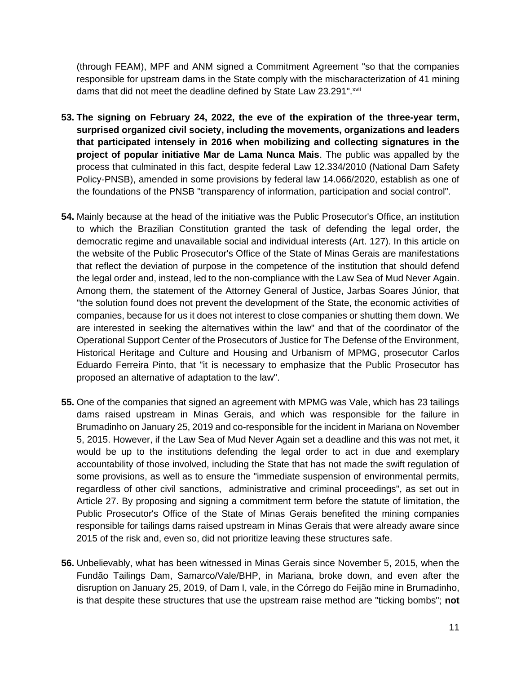(through FEAM), MPF and ANM signed a Commitment Agreement "so that the companies responsible for upstream dams in the State comply with the mischaracterization of 41 mining dams that did not meet the deadline defined by State Law 23.291". XVII

- **53. The signing on February 24, 2022, the eve of the expiration of the three-year term, surprised organized civil society, including the movements, organizations and leaders that participated intensely in 2016 when mobilizing and collecting signatures in the project of popular initiative Mar de Lama Nunca Mais**. The public was appalled by the process that culminated in this fact, despite federal Law 12.334/2010 (National Dam Safety Policy-PNSB), amended in some provisions by federal law 14.066/2020, establish as one of the foundations of the PNSB "transparency of information, participation and social control".
- **54.** Mainly because at the head of the initiative was the Public Prosecutor's Office, an institution to which the Brazilian Constitution granted the task of defending the legal order, the democratic regime and unavailable social and individual interests (Art. 127). In this article on the website of the Public Prosecutor's Office of the State of Minas Gerais are manifestations that reflect the deviation of purpose in the competence of the institution that should defend the legal order and, instead, led to the non-compliance with the Law Sea of Mud Never Again. Among them, the statement of the Attorney General of Justice, Jarbas Soares Júnior, that "the solution found does not prevent the development of the State, the economic activities of companies, because for us it does not interest to close companies or shutting them down. We are interested in seeking the alternatives within the law" and that of the coordinator of the Operational Support Center of the Prosecutors of Justice for The Defense of the Environment, Historical Heritage and Culture and Housing and Urbanism of MPMG, prosecutor Carlos Eduardo Ferreira Pinto, that "it is necessary to emphasize that the Public Prosecutor has proposed an alternative of adaptation to the law".
- **55.** One of the companies that signed an agreement with MPMG was Vale, which has 23 tailings dams raised upstream in Minas Gerais, and which was responsible for the failure in Brumadinho on January 25, 2019 and co-responsible for the incident in Mariana on November 5, 2015. However, if the Law Sea of Mud Never Again set a deadline and this was not met, it would be up to the institutions defending the legal order to act in due and exemplary accountability of those involved, including the State that has not made the swift regulation of some provisions, as well as to ensure the "immediate suspension of environmental permits, regardless of other civil sanctions, administrative and criminal proceedings", as set out in Article 27. By proposing and signing a commitment term before the statute of limitation, the Public Prosecutor's Office of the State of Minas Gerais benefited the mining companies responsible for tailings dams raised upstream in Minas Gerais that were already aware since 2015 of the risk and, even so, did not prioritize leaving these structures safe.
- **56.** Unbelievably, what has been witnessed in Minas Gerais since November 5, 2015, when the Fundão Tailings Dam, Samarco/Vale/BHP, in Mariana, broke down, and even after the disruption on January 25, 2019, of Dam I, vale, in the Córrego do Feijão mine in Brumadinho, is that despite these structures that use the upstream raise method are "ticking bombs"; **not**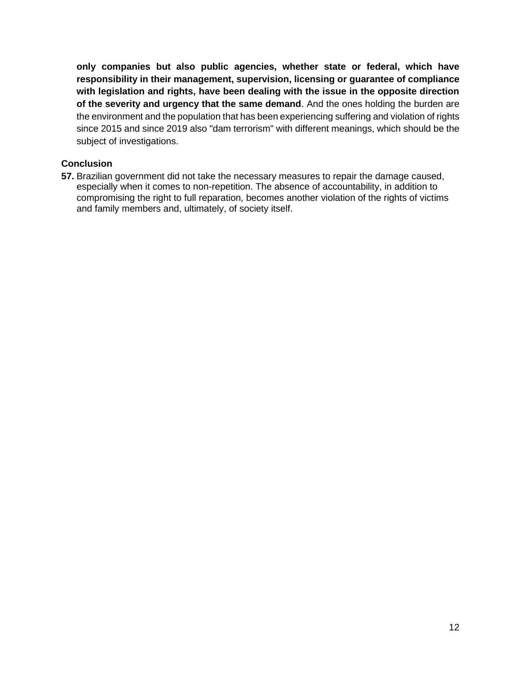**only companies but also public agencies, whether state or federal, which have responsibility in their management, supervision, licensing or guarantee of compliance with legislation and rights, have been dealing with the issue in the opposite direction of the severity and urgency that the same demand**. And the ones holding the burden are the environment and the population that has been experiencing suffering and violation of rights since 2015 and since 2019 also "dam terrorism" with different meanings, which should be the subject of investigations.

## **Conclusion**

**57.** Brazilian government did not take the necessary measures to repair the damage caused, especially when it comes to non-repetition. The absence of accountability, in addition to compromising the right to full reparation, becomes another violation of the rights of victims and family members and, ultimately, of society itself.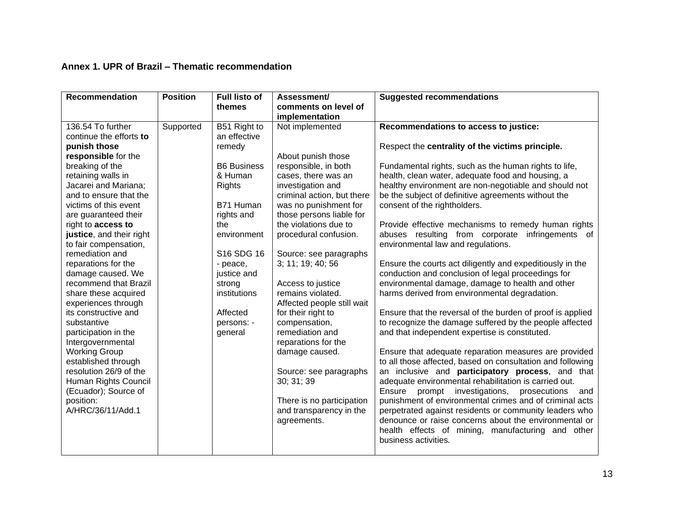## **Annex 1. UPR of Brazil – Thematic recommendation**

| <b>Recommendation</b>          | <b>Position</b> | <b>Full listo of</b><br>themes | Assessment/<br>comments on level of | <b>Suggested recommendations</b>                                                                           |
|--------------------------------|-----------------|--------------------------------|-------------------------------------|------------------------------------------------------------------------------------------------------------|
|                                |                 |                                | implementation                      |                                                                                                            |
| 136.54 To further              | Supported       | B51 Right to                   | Not implemented                     | Recommendations to access to justice:                                                                      |
| continue the efforts to        |                 | an effective                   |                                     |                                                                                                            |
| punish those                   |                 | remedy                         |                                     | Respect the centrality of the victims principle.                                                           |
| responsible for the            |                 |                                | About punish those                  |                                                                                                            |
| breaking of the                |                 | <b>B6 Business</b>             | responsible, in both                | Fundamental rights, such as the human rights to life,                                                      |
| retaining walls in             |                 | & Human                        | cases, there was an                 | health, clean water, adequate food and housing, a                                                          |
| Jacarei and Mariana;           |                 | <b>Rights</b>                  | investigation and                   | healthy environment are non-negotiable and should not                                                      |
| and to ensure that the         |                 |                                | criminal action, but there          | be the subject of definitive agreements without the                                                        |
| victims of this event          |                 | B71 Human                      | was no punishment for               | consent of the rightholders.                                                                               |
| are guaranteed their           |                 | rights and                     | those persons liable for            |                                                                                                            |
| right to access to             |                 | the                            | the violations due to               | Provide effective mechanisms to remedy human rights                                                        |
| justice, and their right       |                 | environment                    | procedural confusion.               | abuses resulting from corporate<br>infringements of                                                        |
| to fair compensation,          |                 |                                |                                     | environmental law and regulations.                                                                         |
| remediation and                |                 | S16 SDG 16                     | Source: see paragraphs              |                                                                                                            |
| reparations for the            |                 | - peace,                       | 3; 11; 19; 40; 56                   | Ensure the courts act diligently and expeditiously in the                                                  |
| damage caused. We              |                 | justice and                    |                                     | conduction and conclusion of legal proceedings for                                                         |
| recommend that Brazil          |                 | strong                         | Access to justice                   | environmental damage, damage to health and other                                                           |
| share these acquired           |                 | institutions                   | remains violated.                   | harms derived from environmental degradation.                                                              |
| experiences through            |                 |                                | Affected people still wait          |                                                                                                            |
| its constructive and           |                 | Affected                       | for their right to                  | Ensure that the reversal of the burden of proof is applied                                                 |
| substantive                    |                 | persons: -                     | compensation,                       | to recognize the damage suffered by the people affected                                                    |
| participation in the           |                 | general                        | remediation and                     | and that independent expertise is constituted.                                                             |
| Intergovernmental              |                 |                                | reparations for the                 |                                                                                                            |
| <b>Working Group</b>           |                 |                                | damage caused.                      | Ensure that adequate reparation measures are provided                                                      |
| established through            |                 |                                |                                     | to all those affected, based on consultation and following                                                 |
| resolution 26/9 of the         |                 |                                | Source: see paragraphs              | an inclusive and participatory process, and that                                                           |
| Human Rights Council           |                 |                                | 30; 31; 39                          | adequate environmental rehabilitation is carried out.                                                      |
| (Ecuador); Source of           |                 |                                |                                     | Ensure<br>investigations,<br>prompt<br>prosecutions<br>and                                                 |
| position:<br>A/HRC/36/11/Add.1 |                 |                                | There is no participation           | punishment of environmental crimes and of criminal acts                                                    |
|                                |                 |                                | and transparency in the             | perpetrated against residents or community leaders who                                                     |
|                                |                 |                                | agreements.                         | denounce or raise concerns about the environmental or<br>health effects of mining, manufacturing and other |
|                                |                 |                                |                                     | business activities.                                                                                       |
|                                |                 |                                |                                     |                                                                                                            |
|                                |                 |                                |                                     |                                                                                                            |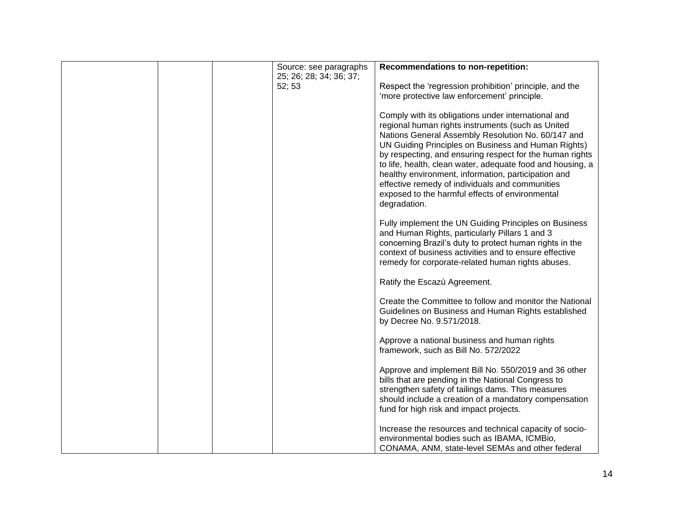|  | Source: see paragraphs  | Recommendations to non-repetition:                                                                                                                                                                                                                                                                                                                                                                                                                                                                                           |
|--|-------------------------|------------------------------------------------------------------------------------------------------------------------------------------------------------------------------------------------------------------------------------------------------------------------------------------------------------------------------------------------------------------------------------------------------------------------------------------------------------------------------------------------------------------------------|
|  | 25; 26; 28; 34; 36; 37; |                                                                                                                                                                                                                                                                                                                                                                                                                                                                                                                              |
|  | 52; 53                  | Respect the 'regression prohibition' principle, and the<br>'more protective law enforcement' principle.                                                                                                                                                                                                                                                                                                                                                                                                                      |
|  |                         |                                                                                                                                                                                                                                                                                                                                                                                                                                                                                                                              |
|  |                         | Comply with its obligations under international and<br>regional human rights instruments (such as United<br>Nations General Assembly Resolution No. 60/147 and<br>UN Guiding Principles on Business and Human Rights)<br>by respecting, and ensuring respect for the human rights<br>to life, health, clean water, adequate food and housing, a<br>healthy environment, information, participation and<br>effective remedy of individuals and communities<br>exposed to the harmful effects of environmental<br>degradation. |
|  |                         | Fully implement the UN Guiding Principles on Business<br>and Human Rights, particularly Pillars 1 and 3<br>concerning Brazil's duty to protect human rights in the<br>context of business activities and to ensure effective<br>remedy for corporate-related human rights abuses.                                                                                                                                                                                                                                            |
|  |                         | Ratify the Escazú Agreement.                                                                                                                                                                                                                                                                                                                                                                                                                                                                                                 |
|  |                         | Create the Committee to follow and monitor the National<br>Guidelines on Business and Human Rights established<br>by Decree No. 9.571/2018.                                                                                                                                                                                                                                                                                                                                                                                  |
|  |                         | Approve a national business and human rights<br>framework, such as Bill No. 572/2022                                                                                                                                                                                                                                                                                                                                                                                                                                         |
|  |                         | Approve and implement Bill No. 550/2019 and 36 other<br>bills that are pending in the National Congress to<br>strengthen safety of tailings dams. This measures<br>should include a creation of a mandatory compensation<br>fund for high risk and impact projects.                                                                                                                                                                                                                                                          |
|  |                         | Increase the resources and technical capacity of socio-<br>environmental bodies such as IBAMA, ICMBio,<br>CONAMA, ANM, state-level SEMAs and other federal                                                                                                                                                                                                                                                                                                                                                                   |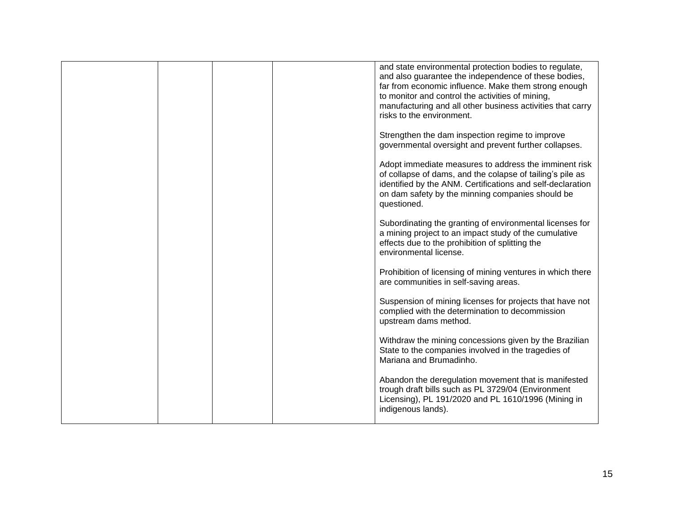|  | and state environmental protection bodies to regulate,<br>and also guarantee the independence of these bodies,<br>far from economic influence. Make them strong enough<br>to monitor and control the activities of mining,<br>manufacturing and all other business activities that carry<br>risks to the environment. |
|--|-----------------------------------------------------------------------------------------------------------------------------------------------------------------------------------------------------------------------------------------------------------------------------------------------------------------------|
|  | Strengthen the dam inspection regime to improve<br>governmental oversight and prevent further collapses.                                                                                                                                                                                                              |
|  | Adopt immediate measures to address the imminent risk<br>of collapse of dams, and the colapse of tailing's pile as<br>identified by the ANM. Certifications and self-declaration<br>on dam safety by the minning companies should be<br>questioned.                                                                   |
|  | Subordinating the granting of environmental licenses for<br>a mining project to an impact study of the cumulative<br>effects due to the prohibition of splitting the<br>environmental license.                                                                                                                        |
|  | Prohibition of licensing of mining ventures in which there<br>are communities in self-saving areas.                                                                                                                                                                                                                   |
|  | Suspension of mining licenses for projects that have not<br>complied with the determination to decommission<br>upstream dams method.                                                                                                                                                                                  |
|  | Withdraw the mining concessions given by the Brazilian<br>State to the companies involved in the tragedies of<br>Mariana and Brumadinho.                                                                                                                                                                              |
|  | Abandon the deregulation movement that is manifested<br>trough draft bills such as PL 3729/04 (Environment<br>Licensing), PL 191/2020 and PL 1610/1996 (Mining in<br>indigenous lands).                                                                                                                               |